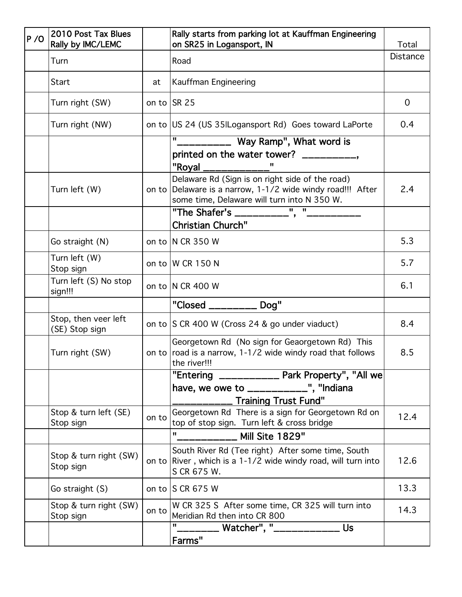| P / O | 2010 Post Tax Blues<br>Rally by IMC/LEMC |       | Rally starts from parking lot at Kauffman Engineering<br>on SR25 in Logansport, IN                                                                           | Total           |
|-------|------------------------------------------|-------|--------------------------------------------------------------------------------------------------------------------------------------------------------------|-----------------|
|       | Turn                                     |       | Road                                                                                                                                                         | <b>Distance</b> |
|       | Start                                    | at    | Kauffman Engineering                                                                                                                                         |                 |
|       | Turn right (SW)                          |       | on to $ SR 25$                                                                                                                                               | $\overline{0}$  |
|       | Turn right (NW)                          |       | on to US 24 (US 35 Logansport Rd) Goes toward LaPorte                                                                                                        | 0.4             |
|       |                                          |       | __________ Way Ramp", What word is                                                                                                                           |                 |
|       |                                          |       | printed on the water tower? ___________,<br>"Royal ____________                                                                                              |                 |
|       | Turn left (W)                            |       | Delaware Rd (Sign is on right side of the road)<br>on to Delaware is a narrow, 1-1/2 wide windy road!!! After<br>some time, Delaware will turn into N 350 W. | 2.4             |
|       |                                          |       | "The Shafer's ___________", "__________                                                                                                                      |                 |
|       |                                          |       | <b>Christian Church"</b>                                                                                                                                     |                 |
|       | Go straight (N)                          |       | on to $ N \text{ CR } 350 \text{ W}$                                                                                                                         | 5.3             |
|       | Turn left (W)<br>Stop sign               |       | on to  W CR 150 N                                                                                                                                            | 5.7             |
|       | Turn left (S) No stop<br>sign!!!         |       | on to  N CR 400 W                                                                                                                                            | 6.1             |
|       |                                          |       | "Closed _________ Dog"                                                                                                                                       |                 |
|       | Stop, then veer left<br>(SE) Stop sign   |       | on to SCR 400 W (Cross 24 & go under viaduct)                                                                                                                | 8.4             |
|       | Turn right (SW)                          |       | Georgetown Rd (No sign for Geaorgetown Rd) This<br>on to $ $ road is a narrow, 1-1/2 wide windy road that follows<br>the river!!!                            | 8.5             |
|       |                                          |       | "Entering ____________ Park Property", "All we                                                                                                               |                 |
|       |                                          |       | have, we owe to ____________", "Indiana                                                                                                                      |                 |
|       |                                          |       | <b>Training Trust Fund"</b>                                                                                                                                  |                 |
|       | Stop & turn left (SE)<br>Stop sign       | on to | Georgetown Rd There is a sign for Georgetown Rd on<br>top of stop sign. Turn left & cross bridge                                                             | 12.4            |
|       |                                          |       | H.<br>Mill Site 1829"                                                                                                                                        |                 |
|       | Stop & turn right (SW)<br>Stop sign      |       | South River Rd (Tee right) After some time, South<br>on to River, which is a $1-1/2$ wide windy road, will turn into<br>S CR 675 W.                          | 12.6            |
|       | Go straight (S)                          |       | on to $ S \, CR \, 675 \, W$                                                                                                                                 | 13.3            |
|       | Stop & turn right (SW)<br>Stop sign      | on to | W CR 325 S After some time, CR 325 will turn into<br>Meridian Rd then into CR 800                                                                            | 14.3            |
|       |                                          |       | Watcher", "_____________<br><b>Us</b><br>Farms"                                                                                                              |                 |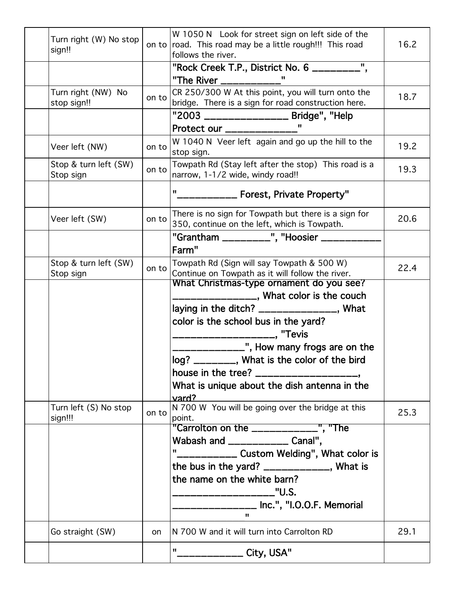| Turn right (W) No stop<br>sign!!   |           | W 1050 N Look for street sign on left side of the<br>on to road. This road may be a little rough!!! This road<br>follows the river. | 16.2 |
|------------------------------------|-----------|-------------------------------------------------------------------------------------------------------------------------------------|------|
|                                    |           | "Rock Creek T.P., District No. 6 _________",                                                                                        |      |
|                                    |           | "The River ____________'<br>$\mathbf{u}$                                                                                            |      |
| Turn right (NW) No<br>stop sign!!  | on to     | CR 250/300 W At this point, you will turn onto the<br>bridge. There is a sign for road construction here.                           | 18.7 |
|                                    |           | "2003 _________________ Bridge", "Help                                                                                              |      |
|                                    |           | Protect_our ______________"                                                                                                         |      |
| Veer left (NW)                     | on to     | W 1040 N Veer left again and go up the hill to the<br>stop sign.                                                                    | 19.2 |
| Stop & turn left (SW)<br>Stop sign | on to     | Towpath Rd (Stay left after the stop) This road is a<br>narrow, 1-1/2 wide, windy road!!                                            | 19.3 |
|                                    |           | "____________ Forest, Private Property"                                                                                             |      |
| Veer left (SW)                     | on to     | There is no sign for Towpath but there is a sign for<br>350, continue on the left, which is Towpath.                                | 20.6 |
|                                    |           | "Grantham _________", "Hoosier ________                                                                                             |      |
|                                    |           | Farm"                                                                                                                               |      |
| Stop & turn left (SW)<br>Stop sign | on to     | Towpath Rd (Sign will say Towpath & 500 W)<br>Continue on Towpath as it will follow the river.                                      | 22.4 |
|                                    |           | What Christmas-type ornament do you see?                                                                                            |      |
|                                    |           | ____________, What color is the couch                                                                                               |      |
|                                    |           | laying in the ditch? _______________, What                                                                                          |      |
|                                    |           | color is the school bus in the yard?                                                                                                |      |
|                                    |           | ____________________________,"Tevis                                                                                                 |      |
|                                    |           | ____________", How many frogs are on the                                                                                            |      |
|                                    |           | log? ________, What is the color of the bird                                                                                        |      |
|                                    |           | house in the tree? ___________________                                                                                              |      |
|                                    |           | What is unique about the dish antenna in the<br>vard?                                                                               |      |
| Turn left (S) No stop<br>sign!!!   | on to     | N 700 W You will be going over the bridge at this<br>point.                                                                         | 25.3 |
|                                    |           | "Carrolton on the _____________", "The                                                                                              |      |
|                                    |           | Wabash and ____________ Canal",                                                                                                     |      |
|                                    |           | "____________ Custom Welding", What color is                                                                                        |      |
|                                    |           | the bus in the yard? $\frac{1}{2}$ _________________, What is                                                                       |      |
|                                    |           | the name on the white barn?                                                                                                         |      |
|                                    |           | -------------------------"U.S.                                                                                                      |      |
|                                    |           | ____________ Inc.", "I.O.O.F. Memorial<br>п.                                                                                        |      |
| Go straight (SW)                   | <b>on</b> | N 700 W and it will turn into Carrolton RD                                                                                          | 29.1 |
|                                    |           | "______________ City, USA"                                                                                                          |      |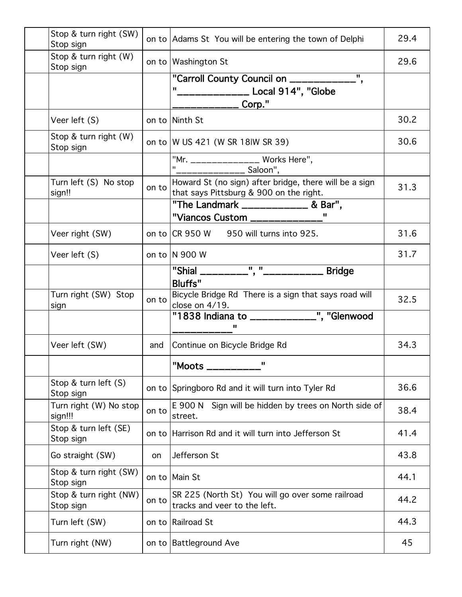| Stop & turn right (SW)<br>Stop sign |       | on to Adams St You will be entering the town of Delphi                                            | 29.4 |
|-------------------------------------|-------|---------------------------------------------------------------------------------------------------|------|
| Stop & turn right (W)<br>Stop sign  |       | on to   Washington St                                                                             | 29.6 |
|                                     |       | "Carroll County Council on _____________",<br>______________ Local 914", "Globe                   |      |
| Veer left (S)                       |       | on to Ninth St                                                                                    | 30.2 |
| Stop & turn right (W)<br>Stop sign  |       | on to  W US 421 (W SR 18 W SR 39)                                                                 | 30.6 |
|                                     |       | "Mr. _______________ Works Here",<br>"________________ Saloon",                                   |      |
| Turn left (S) No stop<br>sign!!     | on to | Howard St (no sign) after bridge, there will be a sign<br>that says Pittsburg & 900 on the right. | 31.3 |
|                                     |       | "The Landmark ______________ & Bar",<br>"Viancos Custom _____________                             |      |
| Veer right (SW)                     |       | on to  CR 950 W 950 will turns into 925.                                                          | 31.6 |
| Veer left (S)                       |       | on to $ N 900 W$                                                                                  | 31.7 |
|                                     |       | "Shial _________", "____________ Bridge<br><b>Bluffs"</b>                                         |      |
| Turn right (SW) Stop<br>sign        | on to | Bicycle Bridge Rd There is a sign that says road will<br>close on 4/19.                           | 32.5 |
|                                     |       | <u>close on +/15.</u><br>"1838 Indiana to ____________", "Glenwood<br>ш                           |      |
| Veer left (SW)                      | and   | Continue on Bicycle Bridge Rd                                                                     | 34.3 |
|                                     |       | "Moots ___________"                                                                               |      |
| Stop & turn left $(S)$<br>Stop sign |       | on to Springboro Rd and it will turn into Tyler Rd                                                | 36.6 |
| Turn right (W) No stop<br>sign!!!   | on to | E 900 N Sign will be hidden by trees on North side of<br>street.                                  | 38.4 |
| Stop & turn left (SE)<br>Stop sign  |       | on to Harrison Rd and it will turn into Jefferson St                                              | 41.4 |
| Go straight (SW)                    | on    | Jefferson St                                                                                      | 43.8 |
| Stop & turn right (SW)<br>Stop sign |       | on to Main St                                                                                     | 44.1 |
| Stop & turn right (NW)<br>Stop sign | on to | SR 225 (North St) You will go over some railroad<br>tracks and veer to the left.                  | 44.2 |
| Turn left (SW)                      |       | on to Railroad St                                                                                 | 44.3 |
| Turn right (NW)                     |       | on to Battleground Ave                                                                            | 45   |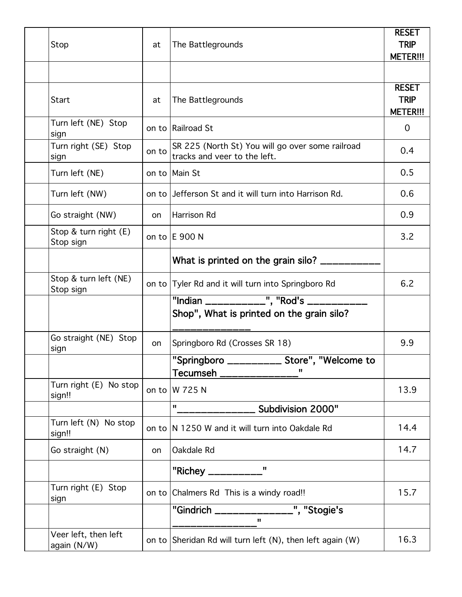| Stop                                | at    | The Battlegrounds                                                                    | <b>RESET</b><br><b>TRIP</b><br><b>METER!!!</b> |
|-------------------------------------|-------|--------------------------------------------------------------------------------------|------------------------------------------------|
|                                     |       |                                                                                      |                                                |
| Start                               | at    | The Battlegrounds                                                                    | <b>RESET</b><br><b>TRIP</b><br><b>METER!!!</b> |
| Turn left (NE) Stop<br>sign         |       | on to Railroad St                                                                    | $\overline{0}$                                 |
| Turn right (SE) Stop<br>sign        | on to | SR 225 (North St) You will go over some railroad<br>tracks and veer to the left.     | 0.4                                            |
| Turn left (NE)                      |       | on to Main St                                                                        | 0.5                                            |
| Turn left (NW)                      |       | on to Jefferson St and it will turn into Harrison Rd.                                | 0.6                                            |
| Go straight (NW)                    | on    | Harrison Rd                                                                          | 0.9                                            |
| Stop & turn right (E)<br>Stop sign  |       | on to E 900 N                                                                        | 3.2                                            |
|                                     |       | What is printed on the grain silo? ______                                            |                                                |
| Stop & turn left (NE)<br>Stop sign  |       | on to Tyler Rd and it will turn into Springboro Rd                                   | 6.2                                            |
|                                     |       | "Indian ____________", "Rod's _________<br>Shop", What is printed on the grain silo? |                                                |
| Go straight (NE) Stop<br>sign       | on    | Springboro Rd (Crosses SR 18)                                                        | 9.9                                            |
|                                     |       | "Springboro ___________ Store", "Welcome to<br>$\mathbf{u}$<br>Tecumseh ___________  |                                                |
| Turn right (E) No stop<br>sign!!    |       | on to W 725 N                                                                        | 13.9                                           |
|                                     |       | H.<br>Subdivision 2000"                                                              |                                                |
| Turn left (N) No stop<br>sign!!     |       | on to N 1250 W and it will turn into Oakdale Rd                                      | 14.4                                           |
| Go straight (N)                     | on    | Oakdale Rd                                                                           | 14.7                                           |
|                                     |       | "Richey ___________'<br>H.                                                           |                                                |
| Turn right (E) Stop<br>sign         |       | on to Chalmers Rd This is a windy road!!                                             | 15.7                                           |
|                                     |       | "Gindrich ______________", "Stogie's<br>$\mathbf{u}$                                 |                                                |
| Veer left, then left<br>again (N/W) |       | on to Sheridan Rd will turn left $(N)$ , then left again $(W)$                       | 16.3                                           |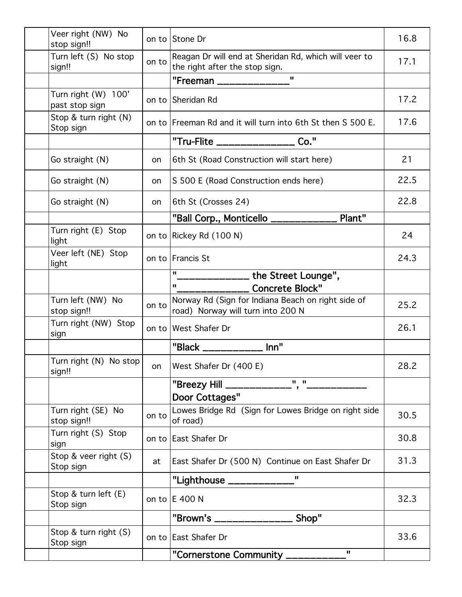|        | Veer right (NW) No<br>stop sign!!     |       | on to Stone Dr                                                                          | 16.8 |
|--------|---------------------------------------|-------|-----------------------------------------------------------------------------------------|------|
| sign!! | Turn left (S) No stop                 | on to | Reagan Dr will end at Sheridan Rd, which will veer to<br>the right after the stop sign. | 17.1 |
|        |                                       |       | $\mathbf{u}$<br>"Freeman _____________                                                  |      |
|        | Turn right (W) 100'<br>past stop sign |       | on to Sheridan Rd                                                                       | 17.2 |
|        | Stop & turn right (N)<br>Stop sign    |       | on to  Freeman Rd and it will turn into 6th St then S 500 E.                            | 17.6 |
|        |                                       |       | "Tru-Flite ________________ Co."                                                        |      |
|        | Go straight (N)                       | on    | 6th St (Road Construction will start here)                                              | 21   |
|        | Go straight (N)                       | on    | S 500 E (Road Construction ends here)                                                   | 22.5 |
|        | Go straight (N)                       | on    | 6th St (Crosses 24)                                                                     | 22.8 |
|        |                                       |       | "Ball Corp., Monticello ____________ Plant"                                             |      |
| light  | Turn right (E) Stop                   |       | on to Rickey Rd (100 N)                                                                 | 24   |
| light  | Veer left (NE) Stop                   |       | on to Francis St                                                                        | 24.3 |
|        |                                       |       | $\overline{\mathbf{u}}$<br>______________ the Street Lounge",<br>$\mathbf{u}$           |      |
|        |                                       |       | <b>Concrete Block"</b>                                                                  |      |
|        | Turn left (NW) No<br>stop sign!!      | on to | Norway Rd (Sign for Indiana Beach on right side of<br>road) Norway will turn into 200 N | 25.2 |
| sign   | Turn right (NW) Stop                  |       | on to West Shafer Dr                                                                    | 26.1 |
|        |                                       |       | "Black ___________ Inn"                                                                 |      |
| sign!! | Turn right (N) No stop                | on    | West Shafer Dr (400 E)                                                                  | 28.2 |
|        |                                       |       | "Breezy Hill _____________", "_______<br>Door Cottages"                                 |      |
|        | Turn right (SE) No<br>stop sign!!     | on to | Lowes Bridge Rd (Sign for Lowes Bridge on right side<br>of road)                        | 30.5 |
| sign   | Turn right (S) Stop                   |       | on to East Shafer Dr                                                                    | 30.8 |
|        | Stop & veer right (S)<br>Stop sign    | at    | East Shafer Dr (500 N) Continue on East Shafer Dr                                       | 31.3 |
|        |                                       |       | $\mathbf{u}$<br>"Lighthouse _____________'                                              |      |
|        | Stop & turn left $(E)$<br>Stop sign   |       | on to $E$ 400 N                                                                         | 32.3 |
|        |                                       |       | "Brown's _______________ Shop"                                                          |      |
|        | Stop & turn right (S)<br>Stop sign    |       | on to East Shafer Dr                                                                    | 33.6 |
|        |                                       |       | $\mathbf{u}$<br>"Cornerstone Community ____________"                                    |      |